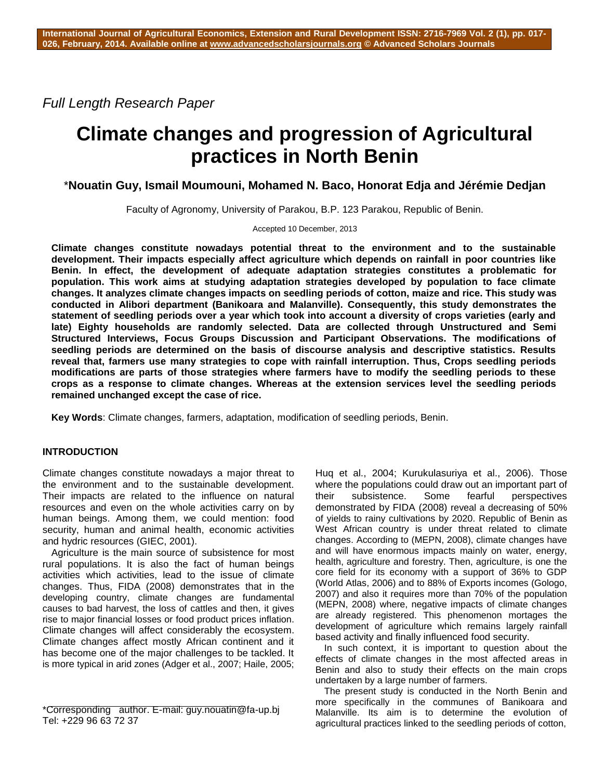*Full Length Research Paper*

# **Climate changes and progression of Agricultural practices in North Benin**

\***Nouatin Guy, Ismail Moumouni, Mohamed N. Baco, Honorat Edja and Jérémie Dedjan**

Faculty of Agronomy, University of Parakou, B.P. 123 Parakou, Republic of Benin.

Accepted 10 December, 2013

**Climate changes constitute nowadays potential threat to the environment and to the sustainable development. Their impacts especially affect agriculture which depends on rainfall in poor countries like Benin. In effect, the development of adequate adaptation strategies constitutes a problematic for population. This work aims at studying adaptation strategies developed by population to face climate changes. It analyzes climate changes impacts on seedling periods of cotton, maize and rice. This study was conducted in Alibori department (Banikoara and Malanville). Consequently, this study demonstrates the statement of seedling periods over a year which took into account a diversity of crops varieties (early and late) Eighty households are randomly selected. Data are collected through Unstructured and Semi Structured Interviews, Focus Groups Discussion and Participant Observations. The modifications of seedling periods are determined on the basis of discourse analysis and descriptive statistics. Results reveal that, farmers use many strategies to cope with rainfall interruption. Thus, Crops seedling periods modifications are parts of those strategies where farmers have to modify the seedling periods to these crops as a response to climate changes. Whereas at the extension services level the seedling periods remained unchanged except the case of rice.**

**Key Words**: Climate changes, farmers, adaptation, modification of seedling periods, Benin.

# **INTRODUCTION**

Climate changes constitute nowadays a major threat to the environment and to the sustainable development. Their impacts are related to the influence on natural resources and even on the whole activities carry on by human beings. Among them, we could mention: food security, human and animal health, economic activities and hydric resources (GIEC, 2001).

Agriculture is the main source of subsistence for most rural populations. It is also the fact of human beings activities which activities, lead to the issue of climate changes. Thus, FIDA (2008) demonstrates that in the developing country, climate changes are fundamental causes to bad harvest, the loss of cattles and then, it gives rise to major financial losses or food product prices inflation. Climate changes will affect considerably the ecosystem. Climate changes affect mostly African continent and it has become one of the major challenges to be tackled. It is more typical in arid zones (Adger et al., 2007; Haile, 2005;

Huq et al., 2004; Kurukulasuriya et al., 2006). Those where the populations could draw out an important part of their subsistence. Some fearful perspectives demonstrated by FIDA (2008) reveal a decreasing of 50% of yields to rainy cultivations by 2020. Republic of Benin as West African country is under threat related to climate changes. According to (MEPN, 2008), climate changes have and will have enormous impacts mainly on water, energy, health, agriculture and forestry. Then, agriculture, is one the core field for its economy with a support of 36% to GDP (World Atlas, 2006) and to 88% of Exports incomes (Gologo, 2007) and also it requires more than 70% of the population (MEPN, 2008) where, negative impacts of climate changes are already registered. This phenomenon mortages the development of agriculture which remains largely rainfall based activity and finally influenced food security.

In such context, it is important to question about the effects of climate changes in the most affected areas in Benin and also to study their effects on the main crops undertaken by a large number of farmers.

The present study is conducted in the North Benin and more specifically in the communes of Banikoara and Malanville. Its aim is to determine the evolution of agricultural practices linked to the seedling periods of cotton,

<sup>\*</sup>Corresponding author. E-mail: guy.nouatin@fa-up.bj Tel: +229 96 63 72 37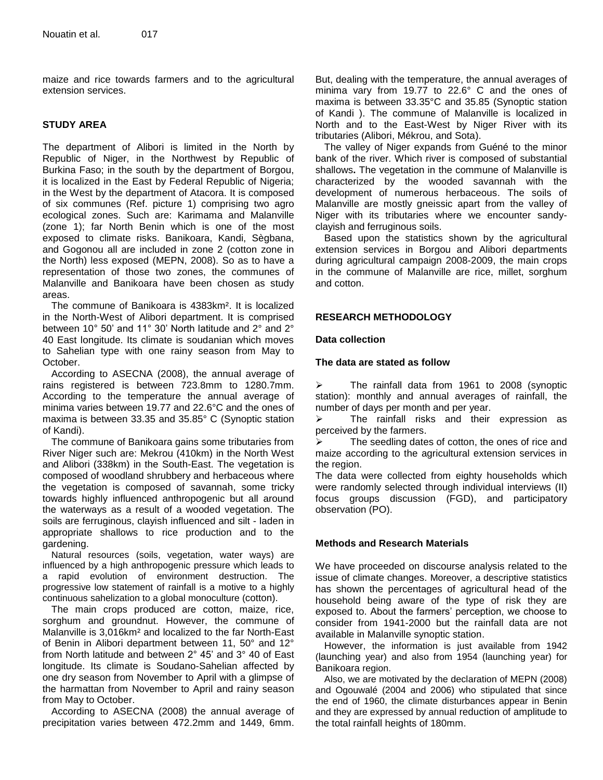maize and rice towards farmers and to the agricultural extension services.

# **STUDY AREA**

The department of Alibori is limited in the North by Republic of Niger, in the Northwest by Republic of Burkina Faso; in the south by the department of Borgou, it is localized in the East by Federal Republic of Nigeria; in the West by the department of Atacora. It is composed of six communes (Ref. picture 1) comprising two agro ecological zones. Such are: Karimama and Malanville (zone 1); far North Benin which is one of the most exposed to climate risks. Banikoara, Kandi, Sègbana, and Gogonou all are included in zone 2 (cotton zone in the North) less exposed (MEPN, 2008). So as to have a representation of those two zones, the communes of Malanville and Banikoara have been chosen as study areas.

The commune of Banikoara is 4383km². It is localized in the North-West of Alibori department. It is comprised between 10° 50' and 11° 30' North latitude and 2° and 2° 40 East longitude. Its climate is soudanian which moves to Sahelian type with one rainy season from May to October.

According to ASECNA (2008), the annual average of rains registered is between 723.8mm to 1280.7mm. According to the temperature the annual average of minima varies between 19.77 and 22.6°C and the ones of maxima is between 33.35 and 35.85° C (Synoptic station of Kandi).

The commune of Banikoara gains some tributaries from River Niger such are: Mekrou (410km) in the North West and Alibori (338km) in the South-East. The vegetation is composed of woodland shrubbery and herbaceous where the vegetation is composed of savannah, some tricky towards highly influenced anthropogenic but all around the waterways as a result of a wooded vegetation. The soils are ferruginous, clayish influenced and silt - laden in appropriate shallows to rice production and to the gardening.

Natural resources (soils, vegetation, water ways) are influenced by a high anthropogenic pressure which leads to a rapid evolution of environment destruction. The progressive low statement of rainfall is a motive to a highly continuous sahelization to a global monoculture (cotton).

The main crops produced are cotton, maize, rice, sorghum and groundnut. However, the commune of Malanville is 3,016km² and localized to the far North-East of Benin in Alibori department between 11, 50° and 12° from North latitude and between 2° 45' and 3° 40 of East longitude. Its climate is Soudano-Sahelian affected by one dry season from November to April with a glimpse of the harmattan from November to April and rainy season from May to October.

According to ASECNA (2008) the annual average of precipitation varies between 472.2mm and 1449, 6mm. But, dealing with the temperature, the annual averages of minima vary from 19.77 to 22.6° C and the ones of maxima is between 33.35°C and 35.85 (Synoptic station of Kandi ). The commune of Malanville is localized in North and to the East-West by Niger River with its tributaries (Alibori, Mékrou, and Sota).

The valley of Niger expands from Guéné to the minor bank of the river. Which river is composed of substantial shallows**.** The vegetation in the commune of Malanville is characterized by the wooded savannah with the development of numerous herbaceous. The soils of Malanville are mostly gneissic apart from the valley of Niger with its tributaries where we encounter sandyclayish and ferruginous soils.

Based upon the statistics shown by the agricultural extension services in Borgou and Alibori departments during agricultural campaign 2008-2009, the main crops in the commune of Malanville are rice, millet, sorghum and cotton.

# **RESEARCH METHODOLOGY**

# **Data collection**

#### **The data are stated as follow**

> The rainfall data from 1961 to 2008 (synoptic station): monthly and annual averages of rainfall, the number of days per month and per year.

 $\triangleright$  The rainfall risks and their expression as perceived by the farmers.

 $\triangleright$  The seedling dates of cotton, the ones of rice and maize according to the agricultural extension services in the region.

The data were collected from eighty households which were randomly selected through individual interviews (II) focus groups discussion (FGD), and participatory observation (PO).

# **Methods and Research Materials**

We have proceeded on discourse analysis related to the issue of climate changes. Moreover, a descriptive statistics has shown the percentages of agricultural head of the household being aware of the type of risk they are exposed to. About the farmers' perception, we choose to consider from 1941-2000 but the rainfall data are not available in Malanville synoptic station.

However, the information is just available from 1942 (launching year) and also from 1954 (launching year) for Banikoara region.

Also, we are motivated by the declaration of MEPN (2008) and Ogouwalé (2004 and 2006) who stipulated that since the end of 1960, the climate disturbances appear in Benin and they are expressed by annual reduction of amplitude to the total rainfall heights of 180mm.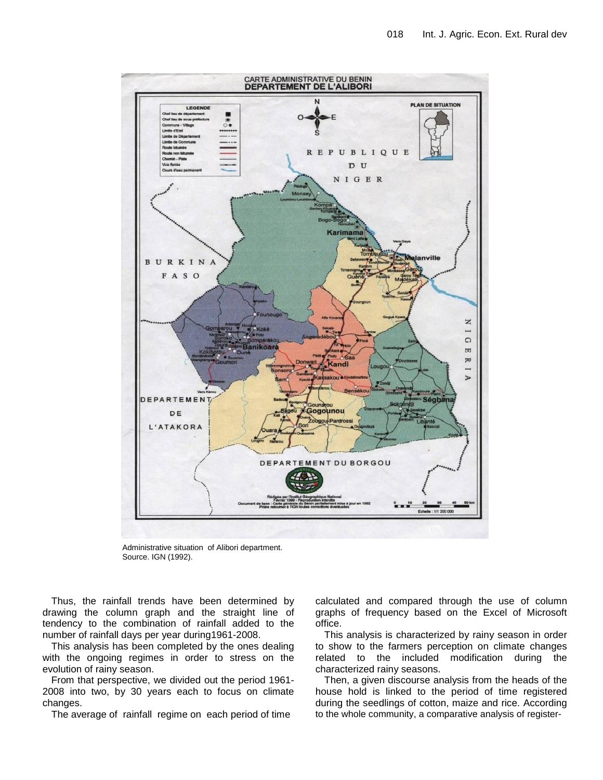

Administrative situation of Alibori department. Source. IGN (1992).

Thus, the rainfall trends have been determined by drawing the column graph and the straight line of tendency to the combination of rainfall added to the number of rainfall days per year during1961-2008.

This analysis has been completed by the ones dealing with the ongoing regimes in order to stress on the evolution of rainy season.

From that perspective, we divided out the period 1961- 2008 into two, by 30 years each to focus on climate changes.

The average of rainfall regime on each period of time

calculated and compared through the use of column graphs of frequency based on the Excel of Microsoft office.

This analysis is characterized by rainy season in order to show to the farmers perception on climate changes related to the included modification during the characterized rainy seasons.

Then, a given discourse analysis from the heads of the house hold is linked to the period of time registered during the seedlings of cotton, maize and rice. According to the whole community, a comparative analysis of register-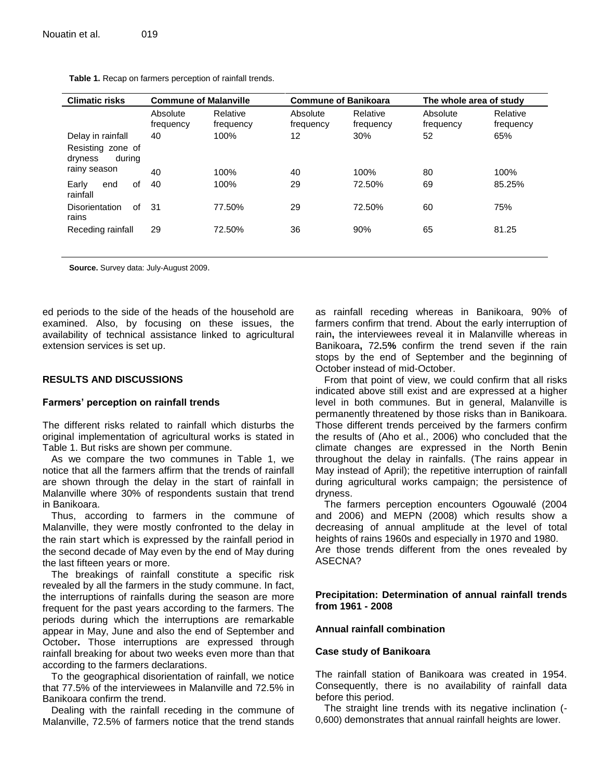| <b>Climatic risks</b>                                  | <b>Commune of Malanville</b> |                       | <b>Commune of Banikoara</b> |                       | The whole area of study |                       |
|--------------------------------------------------------|------------------------------|-----------------------|-----------------------------|-----------------------|-------------------------|-----------------------|
|                                                        | Absolute<br>frequency        | Relative<br>frequency | Absolute<br>frequency       | Relative<br>frequency | Absolute<br>frequency   | Relative<br>frequency |
| Delay in rainfall                                      | 40                           | 100%                  | 12                          | 30%                   | 52                      | 65%                   |
| Resisting zone of<br>durina<br>dryness<br>rainy season | 40                           | 100%                  | 40                          | 100%                  | 80                      | 100%                  |
| 0f<br>Early<br>end<br>rainfall                         | 40                           | 100%                  | 29                          | 72.50%                | 69                      | 85.25%                |
| οf<br><b>Disorientation</b><br>rains                   | -31                          | 77.50%                | 29                          | 72.50%                | 60                      | 75%                   |
| Receding rainfall                                      | 29                           | 72.50%                | 36                          | 90%                   | 65                      | 81.25                 |
|                                                        |                              |                       |                             |                       |                         |                       |

**Table 1.** Recap on farmers perception of rainfall trends.

**Source.** Survey data: July-August 2009.

ed periods to the side of the heads of the household are examined. Also, by focusing on these issues, the availability of technical assistance linked to agricultural extension services is set up.

#### **RESULTS AND DISCUSSIONS**

#### **Farmers' perception on rainfall trends**

The different risks related to rainfall which disturbs the original implementation of agricultural works is stated in Table 1. But risks are shown per commune.

As we compare the two communes in Table 1, we notice that all the farmers affirm that the trends of rainfall are shown through the delay in the start of rainfall in Malanville where 30% of respondents sustain that trend in Banikoara.

Thus, according to farmers in the commune of Malanville, they were mostly confronted to the delay in the rain start which is expressed by the rainfall period in the second decade of May even by the end of May during the last fifteen years or more.

The breakings of rainfall constitute a specific risk revealed by all the farmers in the study commune. In fact, the interruptions of rainfalls during the season are more frequent for the past years according to the farmers. The periods during which the interruptions are remarkable appear in May, June and also the end of September and October**.** Those interruptions are expressed through rainfall breaking for about two weeks even more than that according to the farmers declarations.

To the geographical disorientation of rainfall, we notice that 77.5% of the interviewees in Malanville and 72.5% in Banikoara confirm the trend.

Dealing with the rainfall receding in the commune of Malanville, 72.5% of farmers notice that the trend stands as rainfall receding whereas in Banikoara, 90% of farmers confirm that trend. About the early interruption of rain**,** the interviewees reveal it in Malanville whereas in Banikoara**,** 72**.**5**%** confirm the trend seven if the rain stops by the end of September and the beginning of October instead of mid-October.

From that point of view, we could confirm that all risks indicated above still exist and are expressed at a higher level in both communes. But in general, Malanville is permanently threatened by those risks than in Banikoara. Those different trends perceived by the farmers confirm the results of (Aho et al., 2006) who concluded that the climate changes are expressed in the North Benin throughout the delay in rainfalls. (The rains appear in May instead of April); the repetitive interruption of rainfall during agricultural works campaign; the persistence of dryness.

The farmers perception encounters Ogouwalé (2004 and 2006) and MEPN (2008) which results show a decreasing of annual amplitude at the level of total heights of rains 1960s and especially in 1970 and 1980. Are those trends different from the ones revealed by ASECNA?

#### **Precipitation: Determination of annual rainfall trends from 1961 - 2008**

#### **Annual rainfall combination**

#### **Case study of Banikoara**

The rainfall station of Banikoara was created in 1954. Consequently, there is no availability of rainfall data before this period.

The straight line trends with its negative inclination (- 0,600) demonstrates that annual rainfall heights are lower.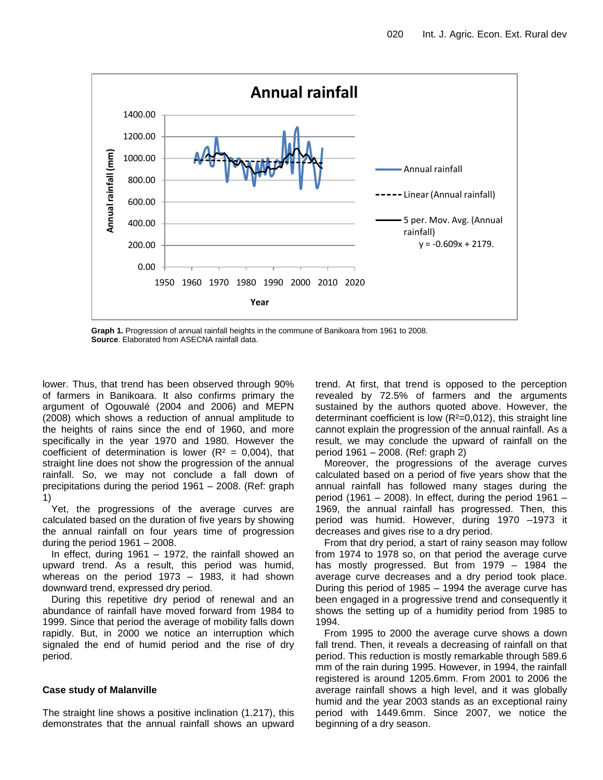

**Graph 1.** Progression of annual rainfall heights in the commune of Banikoara from 1961 to 2008. **Source**. Elaborated from ASECNA rainfall data.

lower. Thus, that trend has been observed through 90% of farmers in Banikoara. It also confirms primary the argument of Ogouwalé (2004 and 2006) and MEPN (2008) which shows a reduction of annual amplitude to the heights of rains since the end of 1960, and more specifically in the year 1970 and 1980. However the coefficient of determination is lower ( $R^2 = 0.004$ ), that straight line does not show the progression of the annual rainfall. So, we may not conclude a fall down of precipitations during the period 1961 – 2008. (Ref: graph 1)

Yet, the progressions of the average curves are calculated based on the duration of five years by showing the annual rainfall on four years time of progression during the period 1961 – 2008.

In effect, during  $1961 - 1972$ , the rainfall showed an upward trend. As a result, this period was humid, whereas on the period 1973 – 1983, it had shown downward trend, expressed dry period.

During this repetitive dry period of renewal and an abundance of rainfall have moved forward from 1984 to 1999. Since that period the average of mobility falls down rapidly. But, in 2000 we notice an interruption which signaled the end of humid period and the rise of dry period.

# **Case study of Malanville**

The straight line shows a positive inclination (1.217), this demonstrates that the annual rainfall shows an upward trend. At first, that trend is opposed to the perception revealed by 72.5% of farmers and the arguments sustained by the authors quoted above. However, the determinant coefficient is low (R²=0,012), this straight line cannot explain the progression of the annual rainfall. As a result, we may conclude the upward of rainfall on the period 1961 – 2008. (Ref: graph 2)

Moreover, the progressions of the average curves calculated based on a period of five years show that the annual rainfall has followed many stages during the period (1961 – 2008). In effect, during the period 1961 – 1969, the annual rainfall has progressed. Then, this period was humid. However, during 1970 –1973 it decreases and gives rise to a dry period.

From that dry period, a start of rainy season may follow from 1974 to 1978 so, on that period the average curve has mostly progressed. But from 1979 – 1984 the average curve decreases and a dry period took place. During this period of 1985 – 1994 the average curve has been engaged in a progressive trend and consequently it shows the setting up of a humidity period from 1985 to 1994.

From 1995 to 2000 the average curve shows a down fall trend. Then, it reveals a decreasing of rainfall on that period. This reduction is mostly remarkable through 589.6 mm of the rain during 1995. However, in 1994, the rainfall registered is around 1205.6mm. From 2001 to 2006 the average rainfall shows a high level, and it was globally humid and the year 2003 stands as an exceptional rainy period with 1449.6mm. Since 2007, we notice the beginning of a dry season.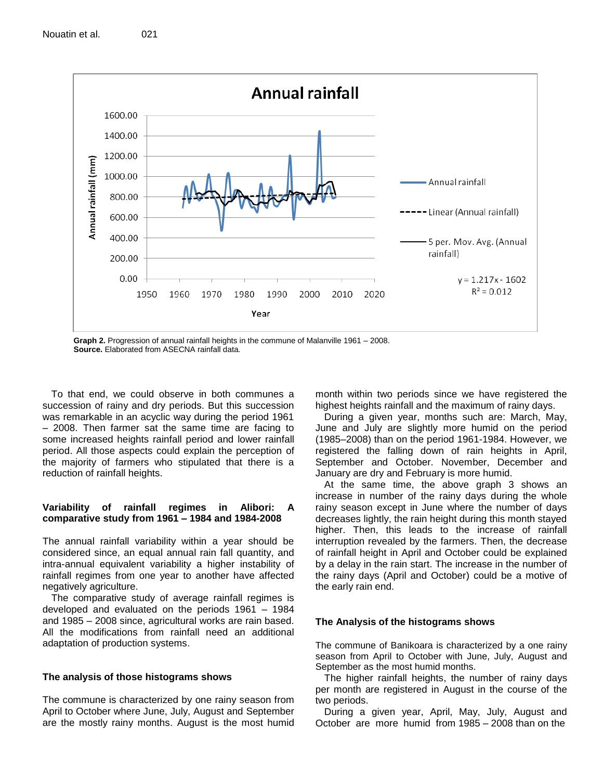

**Graph 2.** Progression of annual rainfall heights in the commune of Malanville 1961 – 2008. **Source.** Elaborated from ASECNA rainfall data.

To that end, we could observe in both communes a succession of rainy and dry periods. But this succession was remarkable in an acyclic way during the period 1961 – 2008. Then farmer sat the same time are facing to some increased heights rainfall period and lower rainfall period. All those aspects could explain the perception of the majority of farmers who stipulated that there is a reduction of rainfall heights.

# **Variability of rainfall regimes in Alibori: A comparative study from 1961 – 1984 and 1984-2008**

The annual rainfall variability within a year should be considered since, an equal annual rain fall quantity, and intra-annual equivalent variability a higher instability of rainfall regimes from one year to another have affected negatively agriculture.

The comparative study of average rainfall regimes is developed and evaluated on the periods 1961 – 1984 and 1985 – 2008 since, agricultural works are rain based. All the modifications from rainfall need an additional adaptation of production systems.

# **The analysis of those histograms shows**

The commune is characterized by one rainy season from April to October where June, July, August and September are the mostly rainy months. August is the most humid month within two periods since we have registered the highest heights rainfall and the maximum of rainy days.

During a given year, months such are: March, May, June and July are slightly more humid on the period (1985–2008) than on the period 1961-1984. However, we registered the falling down of rain heights in April, September and October. November, December and January are dry and February is more humid.

At the same time, the above graph 3 shows an increase in number of the rainy days during the whole rainy season except in June where the number of days decreases lightly, the rain height during this month stayed higher. Then, this leads to the increase of rainfall interruption revealed by the farmers. Then, the decrease of rainfall height in April and October could be explained by a delay in the rain start. The increase in the number of the rainy days (April and October) could be a motive of the early rain end.

# **The Analysis of the histograms shows**

The commune of Banikoara is characterized by a one rainy season from April to October with June, July, August and September as the most humid months.

The higher rainfall heights, the number of rainy days per month are registered in August in the course of the two periods.

During a given year, April, May, July, August and October are more humid from 1985 – 2008 than on the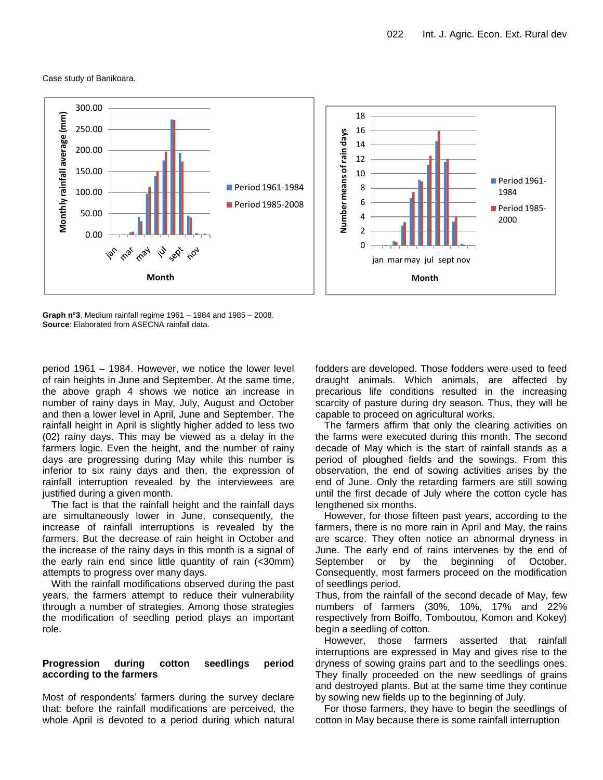Case study of Banikoara.



**Graph n°3**. Medium rainfall regime 1961 – 1984 and 1985 – 2008. **Source**: Elaborated from ASECNA rainfall data.

period 1961 – 1984. However, we notice the lower level of rain heights in June and September. At the same time, the above graph 4 shows we notice an increase in number of rainy days in May, July, August and October and then a lower level in April, June and September. The rainfall height in April is slightly higher added to less two (02) rainy days. This may be viewed as a delay in the farmers logic. Even the height, and the number of rainy days are progressing during May while this number is inferior to six rainy days and then, the expression of rainfall interruption revealed by the interviewees are justified during a given month.

The fact is that the rainfall height and the rainfall days are simultaneously lower in June, consequently, the increase of rainfall interruptions is revealed by the farmers. But the decrease of rain height in October and the increase of the rainy days in this month is a signal of the early rain end since little quantity of rain (<30mm) attempts to progress over many days.

With the rainfall modifications observed during the past years, the farmers attempt to reduce their vulnerability through a number of strategies. Among those strategies the modification of seedling period plays an important role.

#### **Progression during cotton seedlings period according to the farmers**

Most of respondents' farmers during the survey declare that: before the rainfall modifications are perceived, the whole April is devoted to a period during which natural fodders are developed. Those fodders were used to feed draught animals. Which animals, are affected by precarious life conditions resulted in the increasing scarcity of pasture during dry season. Thus, they will be capable to proceed on agricultural works.

The farmers affirm that only the clearing activities on the farms were executed during this month. The second decade of May which is the start of rainfall stands as a period of ploughed fields and the sowings. From this observation, the end of sowing activities arises by the end of June. Only the retarding farmers are still sowing until the first decade of July where the cotton cycle has lengthened six months.

However, for those fifteen past years, according to the farmers, there is no more rain in April and May, the rains are scarce. They often notice an abnormal dryness in June. The early end of rains intervenes by the end of September or by the beginning of October. Consequently, most farmers proceed on the modification of seedlings period.

Thus, from the rainfall of the second decade of May, few numbers of farmers (30%, 10%, 17% and 22% respectively from Boiffo, Tomboutou, Komon and Kokey) begin a seedling of cotton.

However, those farmers asserted that rainfall interruptions are expressed in May and gives rise to the dryness of sowing grains part and to the seedlings ones. They finally proceeded on the new seedlings of grains and destroyed plants. But at the same time they continue by sowing new fields up to the beginning of July.

For those farmers, they have to begin the seedlings of cotton in May because there is some rainfall interruption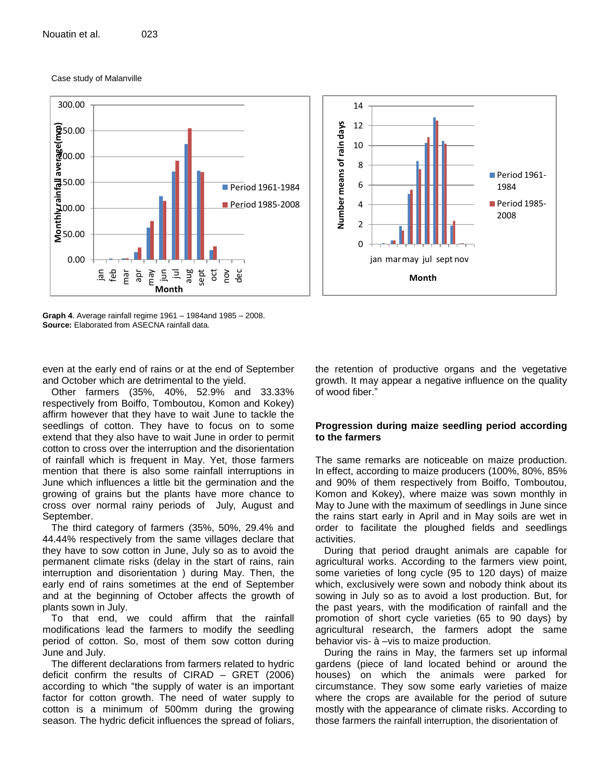Case study of Malanville





**Graph 4**. Average rainfall regime 1961 – 1984and 1985 – 2008. **Source:** Elaborated from ASECNA rainfall data.

even at the early end of rains or at the end of September and October which are detrimental to the yield.

Other farmers (35%, 40%, 52.9% and 33.33% respectively from Boiffo, Tomboutou, Komon and Kokey) affirm however that they have to wait June to tackle the seedlings of cotton. They have to focus on to some extend that they also have to wait June in order to permit cotton to cross over the interruption and the disorientation of rainfall which is frequent in May. Yet, those farmers mention that there is also some rainfall interruptions in June which influences a little bit the germination and the growing of grains but the plants have more chance to cross over normal rainy periods of July, August and September.

The third category of farmers (35%, 50%, 29.4% and 44.44% respectively from the same villages declare that they have to sow cotton in June, July so as to avoid the permanent climate risks (delay in the start of rains, rain interruption and disorientation ) during May. Then, the early end of rains sometimes at the end of September and at the beginning of October affects the growth of plants sown in July.

To that end, we could affirm that the rainfall modifications lead the farmers to modify the seedling period of cotton. So, most of them sow cotton during June and July.

The different declarations from farmers related to hydric deficit confirm the results of CIRAD – GRET (2006) according to which "the supply of water is an important factor for cotton growth. The need of water supply to cotton is a minimum of 500mm during the growing season. The hydric deficit influences the spread of foliars,

the retention of productive organs and the vegetative growth. It may appear a negative influence on the quality of wood fiber."

# **Progression during maize seedling period according to the farmers**

The same remarks are noticeable on maize production. In effect, according to maize producers (100%, 80%, 85% and 90% of them respectively from Boiffo, Tomboutou, Komon and Kokey), where maize was sown monthly in May to June with the maximum of seedlings in June since the rains start early in April and in May soils are wet in order to facilitate the ploughed fields and seedlings activities.

During that period draught animals are capable for agricultural works. According to the farmers view point, some varieties of long cycle (95 to 120 days) of maize which, exclusively were sown and nobody think about its sowing in July so as to avoid a lost production. But, for the past years, with the modification of rainfall and the promotion of short cycle varieties (65 to 90 days) by agricultural research, the farmers adopt the same behavior vis- à –vis to maize production.

During the rains in May, the farmers set up informal gardens (piece of land located behind or around the houses) on which the animals were parked for circumstance. They sow some early varieties of maize where the crops are available for the period of suture mostly with the appearance of climate risks. According to those farmers the rainfall interruption, the disorientation of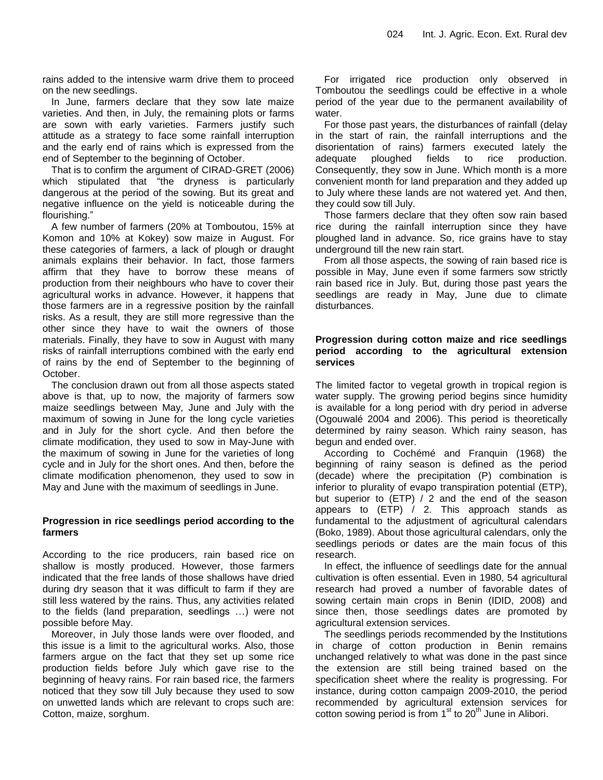rains added to the intensive warm drive them to proceed on the new seedlings.

In June, farmers declare that they sow late maize varieties. And then, in July, the remaining plots or farms are sown with early varieties. Farmers justify such attitude as a strategy to face some rainfall interruption and the early end of rains which is expressed from the end of September to the beginning of October.

That is to confirm the argument of CIRAD-GRET (2006) which stipulated that "the dryness is particularly dangerous at the period of the sowing. But its great and negative influence on the yield is noticeable during the flourishing."

A few number of farmers (20% at Tomboutou, 15% at Komon and 10% at Kokey) sow maize in August. For these categories of farmers, a lack of plough or draught animals explains their behavior. In fact, those farmers affirm that they have to borrow these means of production from their neighbours who have to cover their agricultural works in advance. However, it happens that those farmers are in a regressive position by the rainfall risks. As a result, they are still more regressive than the other since they have to wait the owners of those materials. Finally, they have to sow in August with many risks of rainfall interruptions combined with the early end of rains by the end of September to the beginning of October.

The conclusion drawn out from all those aspects stated above is that, up to now, the majority of farmers sow maize seedlings between May, June and July with the maximum of sowing in June for the long cycle varieties and in July for the short cycle. And then before the climate modification, they used to sow in May-June with the maximum of sowing in June for the varieties of long cycle and in July for the short ones. And then, before the climate modification phenomenon, they used to sow in May and June with the maximum of seedlings in June.

#### **Progression in rice seedlings period according to the farmers**

According to the rice producers, rain based rice on shallow is mostly produced. However, those farmers indicated that the free lands of those shallows have dried during dry season that it was difficult to farm if they are still less watered by the rains. Thus, any activities related to the fields (land preparation, seedlings …) were not possible before May.

Moreover, in July those lands were over flooded, and this issue is a limit to the agricultural works. Also, those farmers argue on the fact that they set up some rice production fields before July which gave rise to the beginning of heavy rains. For rain based rice, the farmers noticed that they sow till July because they used to sow on unwetted lands which are relevant to crops such are: Cotton, maize, sorghum.

For irrigated rice production only observed in Tomboutou the seedlings could be effective in a whole period of the year due to the permanent availability of water.

For those past years, the disturbances of rainfall (delay in the start of rain, the rainfall interruptions and the disorientation of rains) farmers executed lately the adequate ploughed fields to rice production. Consequently, they sow in June. Which month is a more convenient month for land preparation and they added up to July where these lands are not watered yet. And then, they could sow till July.

Those farmers declare that they often sow rain based rice during the rainfall interruption since they have ploughed land in advance. So, rice grains have to stay underground till the new rain start.

From all those aspects, the sowing of rain based rice is possible in May, June even if some farmers sow strictly rain based rice in July. But, during those past years the seedlings are ready in May, June due to climate disturbances.

#### **Progression during cotton maize and rice seedlings period according to the agricultural extension services**

The limited factor to vegetal growth in tropical region is water supply. The growing period begins since humidity is available for a long period with dry period in adverse (Ogouwalé 2004 and 2006). This period is theoretically determined by rainy season. Which rainy season, has begun and ended over.

According to Cochémé and Franquin (1968) the beginning of rainy season is defined as the period (decade) where the precipitation (P) combination is inferior to plurality of evapo transpiration potential (ETP), but superior to (ETP) / 2 and the end of the season appears to (ETP) / 2. This approach stands as fundamental to the adjustment of agricultural calendars (Boko, 1989). About those agricultural calendars, only the seedlings periods or dates are the main focus of this research.

In effect, the influence of seedlings date for the annual cultivation is often essential. Even in 1980, 54 agricultural research had proved a number of favorable dates of sowing certain main crops in Benin (IDID, 2008) and since then, those seedlings dates are promoted by agricultural extension services.

The seedlings periods recommended by the Institutions in charge of cotton production in Benin remains unchanged relatively to what was done in the past since the extension are still being trained based on the specification sheet where the reality is progressing. For instance, during cotton campaign 2009-2010, the period recommended by agricultural extension services for cotton sowing period is from  $1<sup>st</sup>$  to 20<sup>th</sup> June in Alibori.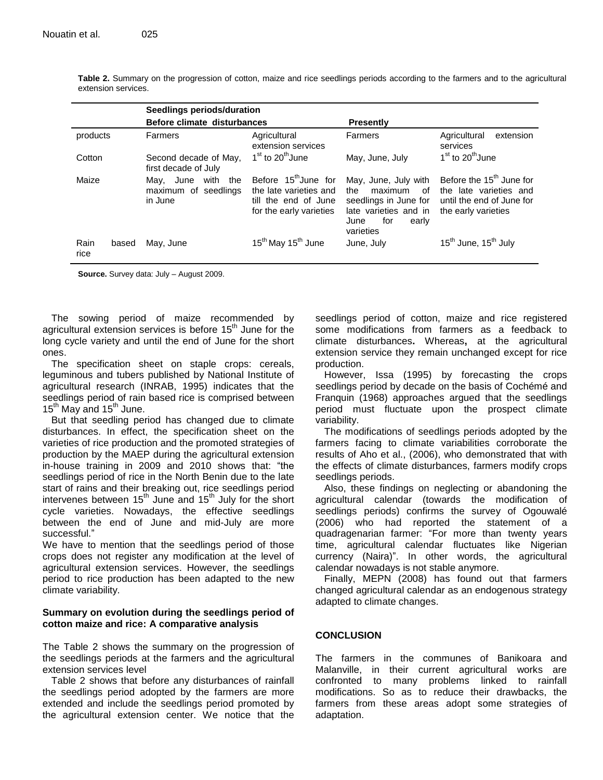**Table 2.** Summary on the progression of cotton, maize and rice seedlings periods according to the farmers and to the agricultural extension services.

|              | Seedlings periods/duration |                                                                |                                                                                                               |                                                                                                                                     |                                                                                                                    |  |  |
|--------------|----------------------------|----------------------------------------------------------------|---------------------------------------------------------------------------------------------------------------|-------------------------------------------------------------------------------------------------------------------------------------|--------------------------------------------------------------------------------------------------------------------|--|--|
|              |                            | Before climate disturbances                                    |                                                                                                               | <b>Presently</b>                                                                                                                    |                                                                                                                    |  |  |
| products     |                            | Farmers                                                        | Agricultural<br>extension services                                                                            | Farmers                                                                                                                             | Agricultural<br>extension<br>services                                                                              |  |  |
| Cotton       |                            | Second decade of May,<br>first decade of July                  | $1st$ to 20 <sup>th</sup> June                                                                                | May, June, July                                                                                                                     | $1st$ to 20 <sup>th</sup> June                                                                                     |  |  |
| Maize        |                            | June<br>the<br>with<br>May,<br>maximum of seedlings<br>in June | Before 15 <sup>th</sup> June for<br>the late varieties and<br>till the end of June<br>for the early varieties | May, June, July with<br>maximum<br>the<br>of<br>seedlings in June for<br>late varieties and in<br>for<br>early<br>June<br>varieties | Before the 15 <sup>th</sup> June for<br>the late varieties and<br>until the end of June for<br>the early varieties |  |  |
| Rain<br>rice | based                      | May, June                                                      | 15 <sup>th</sup> May 15 <sup>th</sup> June                                                                    | June, July                                                                                                                          | 15 <sup>th</sup> June, 15 <sup>th</sup> July                                                                       |  |  |

**Source.** Survey data: July – August 2009.

The sowing period of maize recommended by agricultural extension services is before 15<sup>th</sup> June for the long cycle variety and until the end of June for the short ones.

The specification sheet on staple crops: cereals, leguminous and tubers published by National Institute of agricultural research (INRAB, 1995) indicates that the seedlings period of rain based rice is comprised between  $15<sup>th</sup>$  May and  $15<sup>th</sup>$  June.

But that seedling period has changed due to climate disturbances. In effect, the specification sheet on the varieties of rice production and the promoted strategies of production by the MAEP during the agricultural extension in-house training in 2009 and 2010 shows that: "the seedlings period of rice in the North Benin due to the late start of rains and their breaking out, rice seedlings period intervenes between  $15<sup>th</sup>$  June and  $15<sup>th</sup>$  July for the short cycle varieties. Nowadays, the effective seedlings between the end of June and mid-July are more successful."

We have to mention that the seedlings period of those crops does not register any modification at the level of agricultural extension services. However, the seedlings period to rice production has been adapted to the new climate variability.

# **Summary on evolution during the seedlings period of cotton maize and rice: A comparative analysis**

The Table 2 shows the summary on the progression of the seedlings periods at the farmers and the agricultural extension services level

Table 2 shows that before any disturbances of rainfall the seedlings period adopted by the farmers are more extended and include the seedlings period promoted by the agricultural extension center. We notice that the seedlings period of cotton, maize and rice registered some modifications from farmers as a feedback to climate disturbances**.** Whereas**,** at the agricultural extension service they remain unchanged except for rice production.

However, Issa (1995) by forecasting the crops seedlings period by decade on the basis of Cochémé and Franquin (1968) approaches argued that the seedlings period must fluctuate upon the prospect climate variability.

The modifications of seedlings periods adopted by the farmers facing to climate variabilities corroborate the results of Aho et al., (2006), who demonstrated that with the effects of climate disturbances, farmers modify crops seedlings periods.

Also, these findings on neglecting or abandoning the agricultural calendar (towards the modification of seedlings periods) confirms the survey of Ogouwalé (2006) who had reported the statement of a quadragenarian farmer: "For more than twenty years time, agricultural calendar fluctuates like Nigerian currency (Naira)". In other words, the agricultural calendar nowadays is not stable anymore.

Finally, MEPN (2008) has found out that farmers changed agricultural calendar as an endogenous strategy adapted to climate changes.

# **CONCLUSION**

The farmers in the communes of Banikoara and Malanville, in their current agricultural works are confronted to many problems linked to rainfall modifications. So as to reduce their drawbacks, the farmers from these areas adopt some strategies of adaptation.